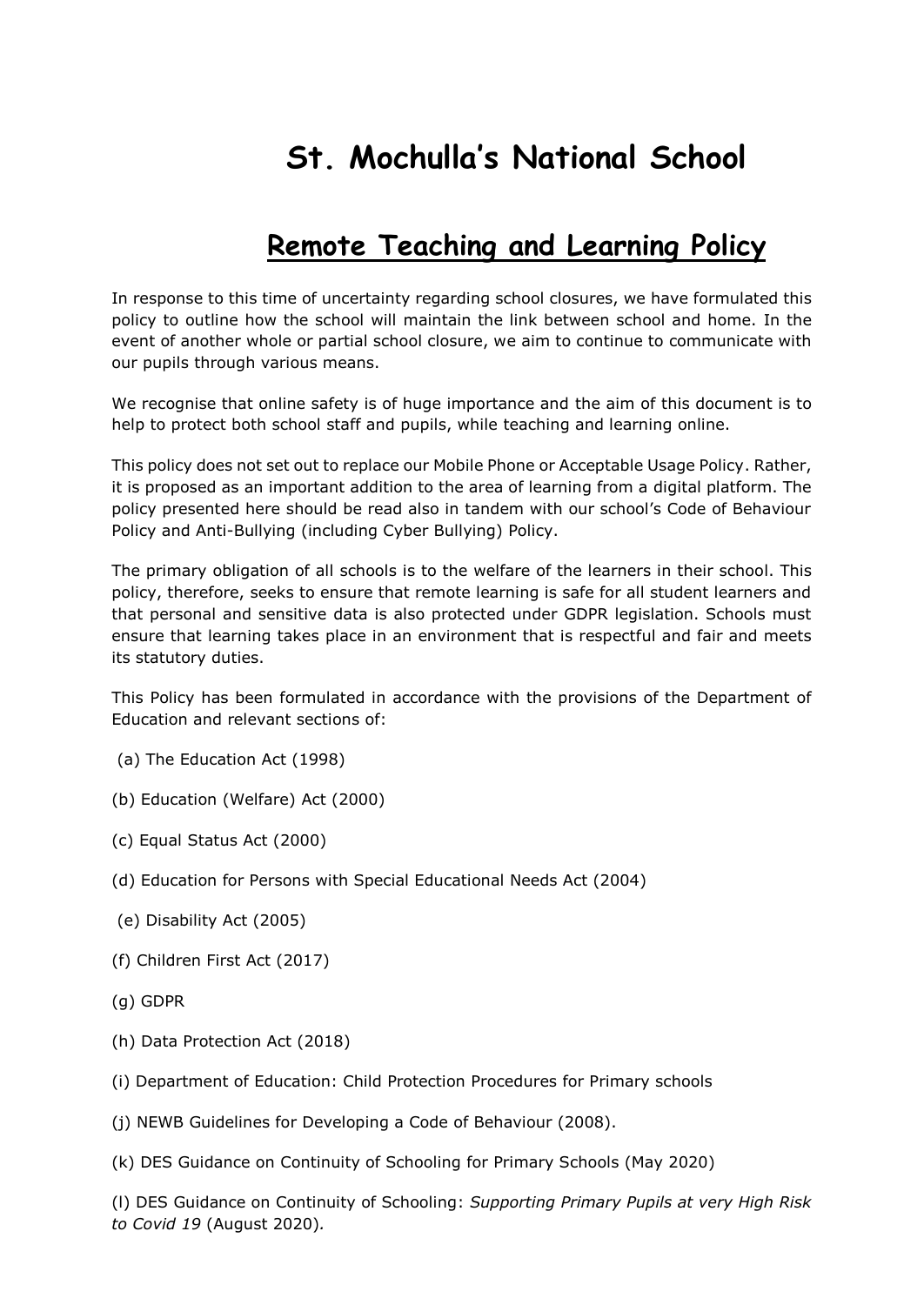# **St. Mochulla's National School**

# **Remote Teaching and Learning Policy**

In response to this time of uncertainty regarding school closures, we have formulated this policy to outline how the school will maintain the link between school and home. In the event of another whole or partial school closure, we aim to continue to communicate with our pupils through various means.

We recognise that online safety is of huge importance and the aim of this document is to help to protect both school staff and pupils, while teaching and learning online.

This policy does not set out to replace our Mobile Phone or Acceptable Usage Policy. Rather, it is proposed as an important addition to the area of learning from a digital platform. The policy presented here should be read also in tandem with our school's Code of Behaviour Policy and Anti-Bullying (including Cyber Bullying) Policy.

The primary obligation of all schools is to the welfare of the learners in their school. This policy, therefore, seeks to ensure that remote learning is safe for all student learners and that personal and sensitive data is also protected under GDPR legislation. Schools must ensure that learning takes place in an environment that is respectful and fair and meets its statutory duties.

This Policy has been formulated in accordance with the provisions of the Department of Education and relevant sections of:

- (a) The Education Act (1998)
- (b) Education (Welfare) Act (2000)
- (c) Equal Status Act (2000)
- (d) Education for Persons with Special Educational Needs Act (2004)
- (e) Disability Act (2005)
- (f) Children First Act (2017)
- (g) GDPR
- (h) Data Protection Act (2018)
- (i) Department of Education: Child Protection Procedures for Primary schools
- (j) NEWB Guidelines for Developing a Code of Behaviour (2008).
- (k) DES Guidance on Continuity of Schooling for Primary Schools (May 2020)

(l) DES Guidance on Continuity of Schooling: *Supporting Primary Pupils at very High Risk to Covid 19* (August 2020)*.*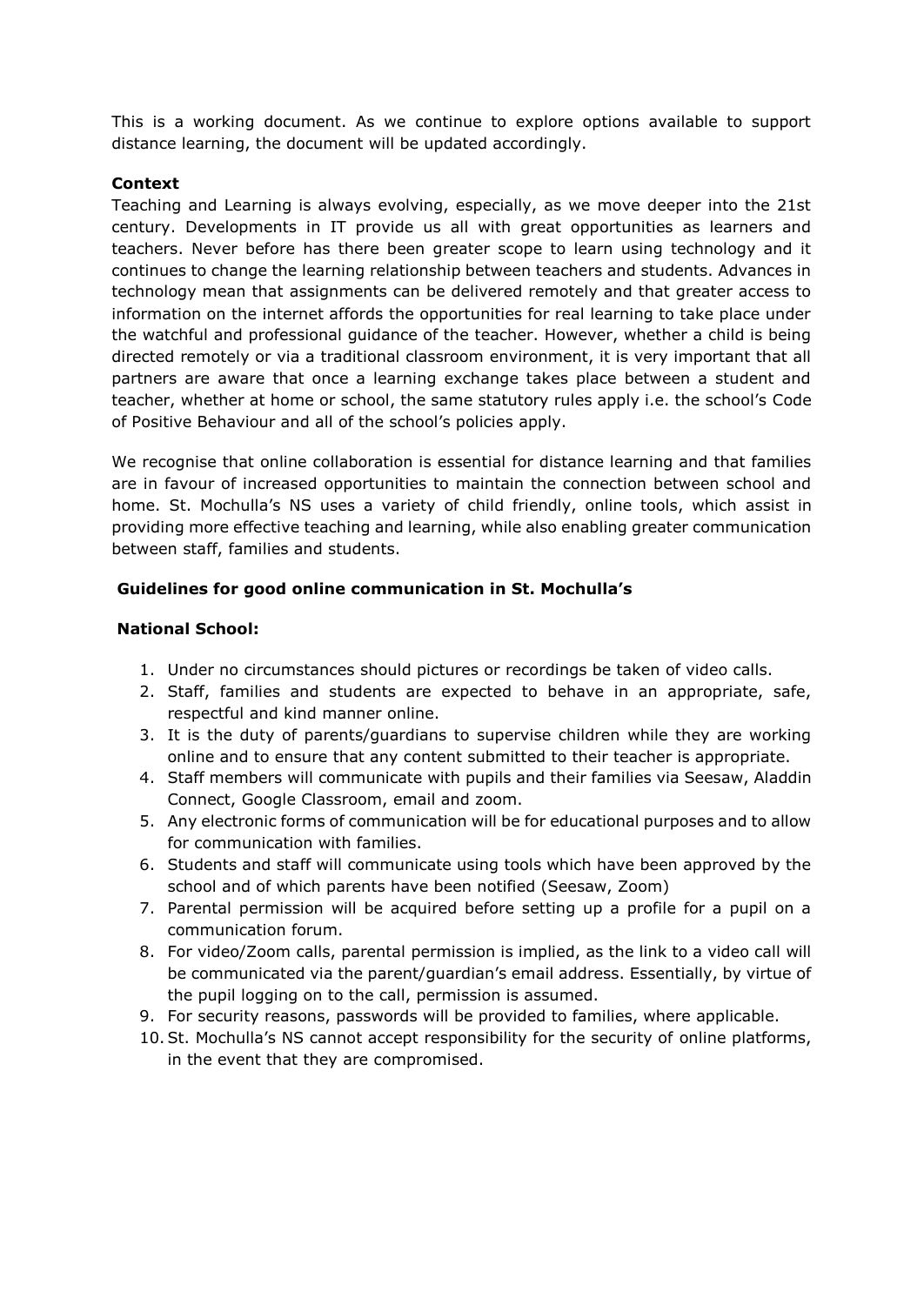This is a working document. As we continue to explore options available to support distance learning, the document will be updated accordingly.

#### **Context**

Teaching and Learning is always evolving, especially, as we move deeper into the 21st century. Developments in IT provide us all with great opportunities as learners and teachers. Never before has there been greater scope to learn using technology and it continues to change the learning relationship between teachers and students. Advances in technology mean that assignments can be delivered remotely and that greater access to information on the internet affords the opportunities for real learning to take place under the watchful and professional guidance of the teacher. However, whether a child is being directed remotely or via a traditional classroom environment, it is very important that all partners are aware that once a learning exchange takes place between a student and teacher, whether at home or school, the same statutory rules apply i.e. the school's Code of Positive Behaviour and all of the school's policies apply.

We recognise that online collaboration is essential for distance learning and that families are in favour of increased opportunities to maintain the connection between school and home. St. Mochulla's NS uses a variety of child friendly, online tools, which assist in providing more effective teaching and learning, while also enabling greater communication between staff, families and students.

#### **Guidelines for good online communication in St. Mochulla's**

#### **National School:**

- 1. Under no circumstances should pictures or recordings be taken of video calls.
- 2. Staff, families and students are expected to behave in an appropriate, safe, respectful and kind manner online.
- 3. It is the duty of parents/guardians to supervise children while they are working online and to ensure that any content submitted to their teacher is appropriate.
- 4. Staff members will communicate with pupils and their families via Seesaw, Aladdin Connect, Google Classroom, email and zoom.
- 5. Any electronic forms of communication will be for educational purposes and to allow for communication with families.
- 6. Students and staff will communicate using tools which have been approved by the school and of which parents have been notified (Seesaw, Zoom)
- 7. Parental permission will be acquired before setting up a profile for a pupil on a communication forum.
- 8. For video/Zoom calls, parental permission is implied, as the link to a video call will be communicated via the parent/guardian's email address. Essentially, by virtue of the pupil logging on to the call, permission is assumed.
- 9. For security reasons, passwords will be provided to families, where applicable.
- 10.St. Mochulla's NS cannot accept responsibility for the security of online platforms, in the event that they are compromised.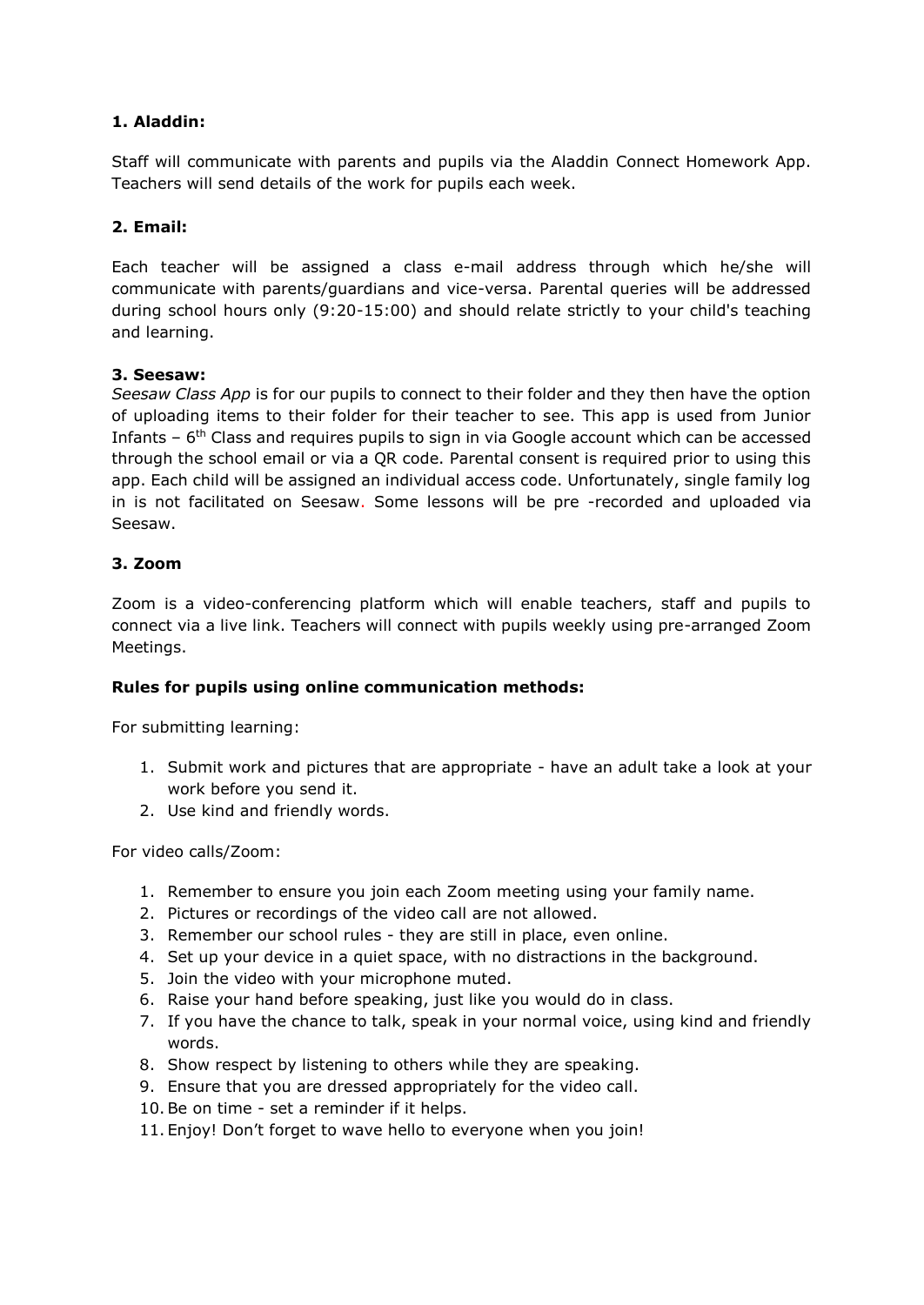# **1. Aladdin:**

Staff will communicate with parents and pupils via the Aladdin Connect Homework App. Teachers will send details of the work for pupils each week.

# **2. Email:**

Each teacher will be assigned a class e-mail address through which he/she will communicate with parents/guardians and vice-versa. Parental queries will be addressed during school hours only (9:20-15:00) and should relate strictly to your child's teaching and learning.

# **3. Seesaw:**

*Seesaw Class App* is for our pupils to connect to their folder and they then have the option of uploading items to their folder for their teacher to see. This app is used from Junior Infants  $-6$ <sup>th</sup> Class and requires pupils to sign in via Google account which can be accessed through the school email or via a QR code. Parental consent is required prior to using this app. Each child will be assigned an individual access code. Unfortunately, single family log in is not facilitated on Seesaw. Some lessons will be pre -recorded and uploaded via Seesaw.

#### **3. Zoom**

Zoom is a video-conferencing platform which will enable teachers, staff and pupils to connect via a live link. Teachers will connect with pupils weekly using pre-arranged Zoom Meetings.

# **Rules for pupils using online communication methods:**

For submitting learning:

- 1. Submit work and pictures that are appropriate have an adult take a look at your work before you send it.
- 2. Use kind and friendly words.

For video calls/Zoom:

- 1. Remember to ensure you join each Zoom meeting using your family name.
- 2. Pictures or recordings of the video call are not allowed.
- 3. Remember our school rules they are still in place, even online.
- 4. Set up your device in a quiet space, with no distractions in the background.
- 5. Join the video with your microphone muted.
- 6. Raise your hand before speaking, just like you would do in class.
- 7. If you have the chance to talk, speak in your normal voice, using kind and friendly words.
- 8. Show respect by listening to others while they are speaking.
- 9. Ensure that you are dressed appropriately for the video call.
- 10.Be on time set a reminder if it helps.
- 11. Enjoy! Don't forget to wave hello to everyone when you join!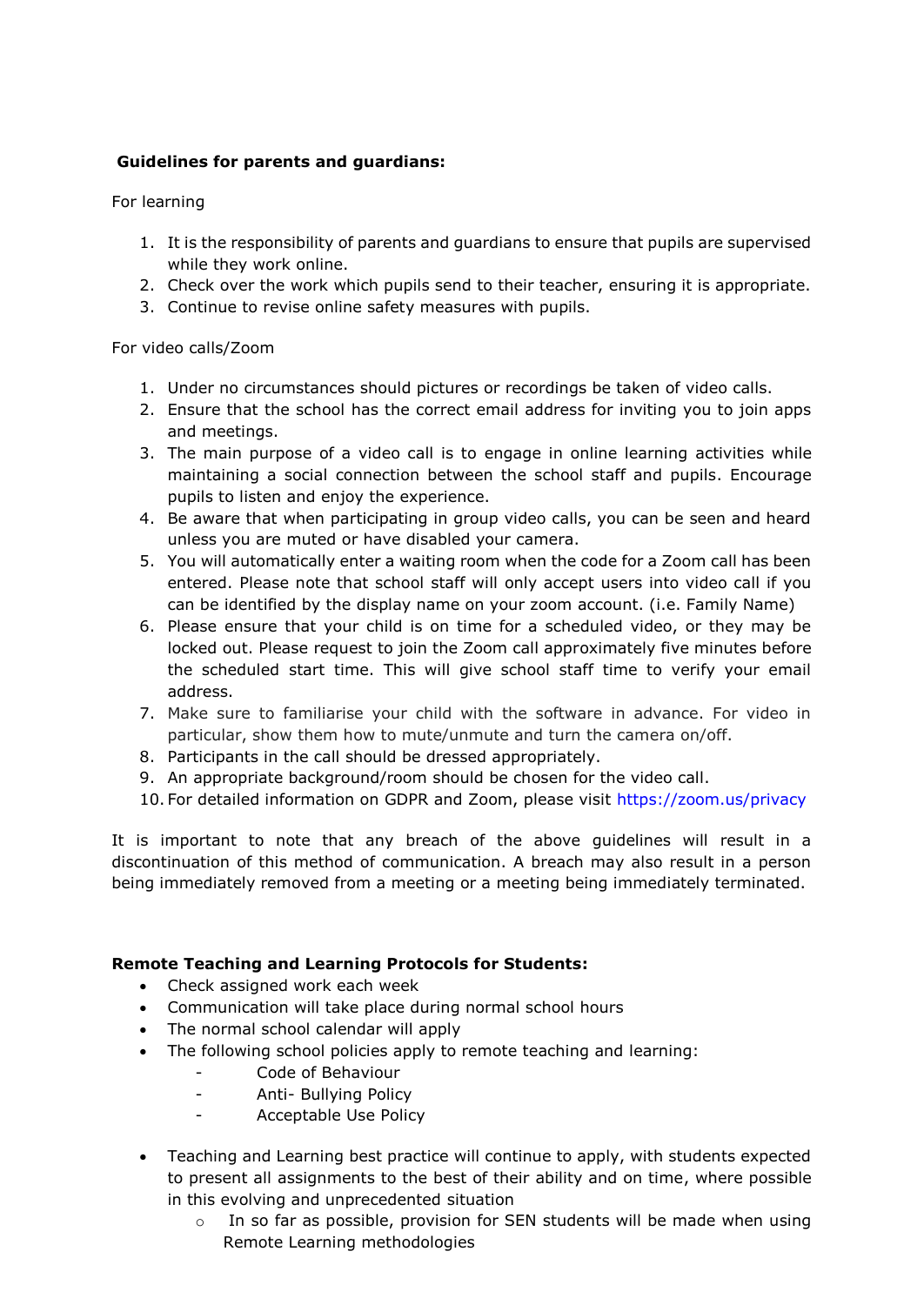# **Guidelines for parents and guardians:**

For learning

- 1. It is the responsibility of parents and guardians to ensure that pupils are supervised while they work online.
- 2. Check over the work which pupils send to their teacher, ensuring it is appropriate.
- 3. Continue to revise online safety measures with pupils.

For video calls/Zoom

- 1. Under no circumstances should pictures or recordings be taken of video calls.
- 2. Ensure that the school has the correct email address for inviting you to join apps and meetings.
- 3. The main purpose of a video call is to engage in online learning activities while maintaining a social connection between the school staff and pupils. Encourage pupils to listen and enjoy the experience.
- 4. Be aware that when participating in group video calls, you can be seen and heard unless you are muted or have disabled your camera.
- 5. You will automatically enter a waiting room when the code for a Zoom call has been entered. Please note that school staff will only accept users into video call if you can be identified by the display name on your zoom account. (i.e. Family Name)
- 6. Please ensure that your child is on time for a scheduled video, or they may be locked out. Please request to join the Zoom call approximately five minutes before the scheduled start time. This will give school staff time to verify your email address.
- 7. Make sure to familiarise your child with the software in advance. For video in particular, show them how to mute/unmute and turn the camera on/off.
- 8. Participants in the call should be dressed appropriately.
- 9. An appropriate background/room should be chosen for the video call.
- 10. For detailed information on GDPR and Zoom, please visit<https://zoom.us/privacy>

It is important to note that any breach of the above guidelines will result in a discontinuation of this method of communication. A breach may also result in a person being immediately removed from a meeting or a meeting being immediately terminated.

# **Remote Teaching and Learning Protocols for Students:**

- Check assigned work each week
- Communication will take place during normal school hours
- The normal school calendar will apply
- The following school policies apply to remote teaching and learning:
	- Code of Behaviour
	- Anti- Bullying Policy
	- Acceptable Use Policy
- Teaching and Learning best practice will continue to apply, with students expected to present all assignments to the best of their ability and on time, where possible in this evolving and unprecedented situation
	- $\circ$  In so far as possible, provision for SEN students will be made when using Remote Learning methodologies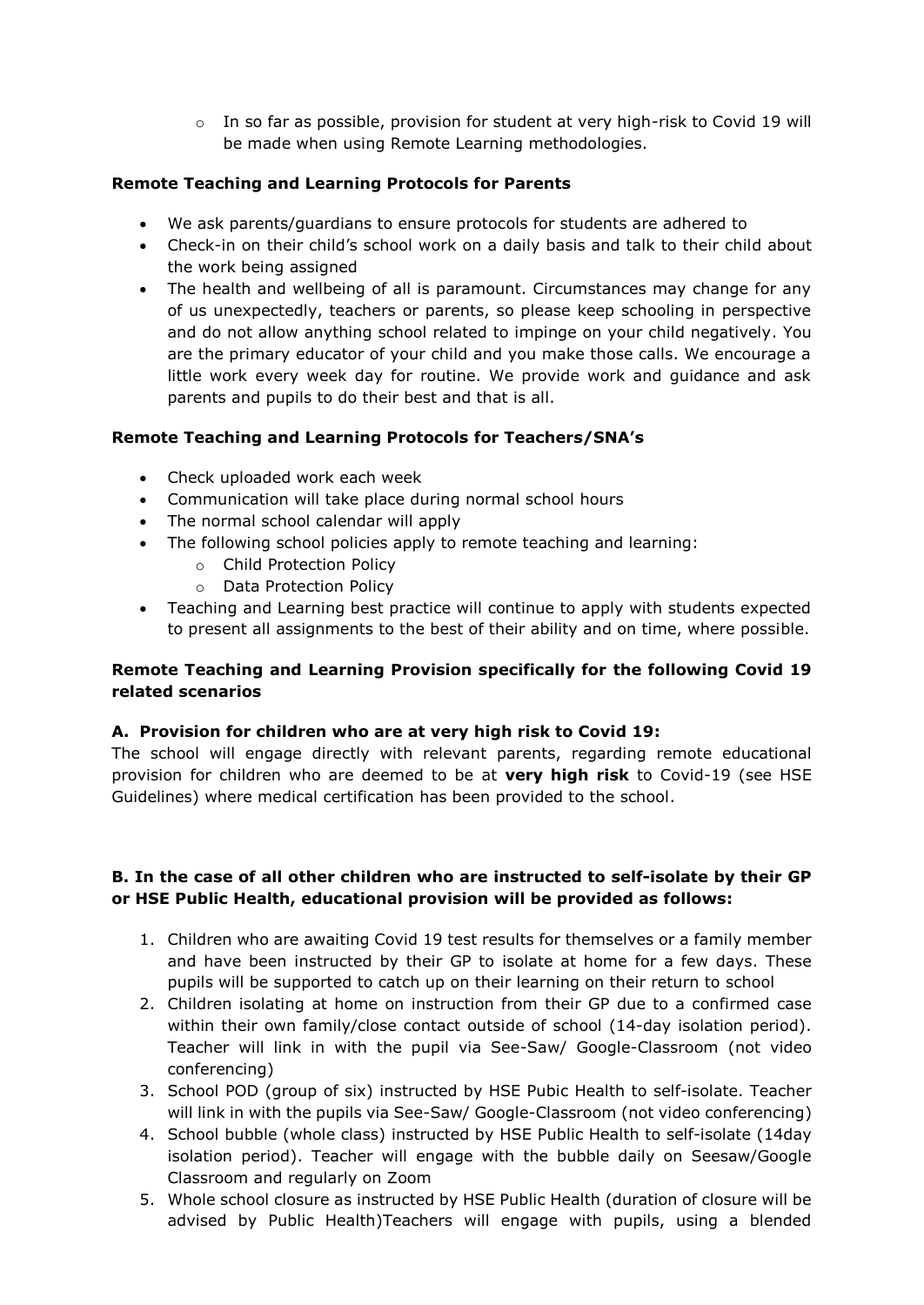$\circ$  In so far as possible, provision for student at very high-risk to Covid 19 will be made when using Remote Learning methodologies.

# **Remote Teaching and Learning Protocols for Parents**

- We ask parents/guardians to ensure protocols for students are adhered to
- Check-in on their child's school work on a daily basis and talk to their child about the work being assigned
- The health and wellbeing of all is paramount. Circumstances may change for any of us unexpectedly, teachers or parents, so please keep schooling in perspective and do not allow anything school related to impinge on your child negatively. You are the primary educator of your child and you make those calls. We encourage a little work every week day for routine. We provide work and guidance and ask parents and pupils to do their best and that is all.

# **Remote Teaching and Learning Protocols for Teachers/SNA's**

- Check uploaded work each week
- Communication will take place during normal school hours
- The normal school calendar will apply
- The following school policies apply to remote teaching and learning:
	- o Child Protection Policy
	- o Data Protection Policy
- Teaching and Learning best practice will continue to apply with students expected to present all assignments to the best of their ability and on time, where possible.

# **Remote Teaching and Learning Provision specifically for the following Covid 19 related scenarios**

# **A. Provision for children who are at very high risk to Covid 19:**

The school will engage directly with relevant parents, regarding remote educational provision for children who are deemed to be at **very high risk** to Covid-19 (see HSE Guidelines) where medical certification has been provided to the school.

# **B. In the case of all other children who are instructed to self-isolate by their GP or HSE Public Health, educational provision will be provided as follows:**

- 1. Children who are awaiting Covid 19 test results for themselves or a family member and have been instructed by their GP to isolate at home for a few days. These pupils will be supported to catch up on their learning on their return to school
- 2. Children isolating at home on instruction from their GP due to a confirmed case within their own family/close contact outside of school (14-day isolation period). Teacher will link in with the pupil via See-Saw/ Google-Classroom (not video conferencing)
- 3. School POD (group of six) instructed by HSE Pubic Health to self-isolate. Teacher will link in with the pupils via See-Saw/ Google-Classroom (not video conferencing)
- 4. School bubble (whole class) instructed by HSE Public Health to self-isolate (14day isolation period). Teacher will engage with the bubble daily on Seesaw/Google Classroom and regularly on Zoom
- 5. Whole school closure as instructed by HSE Public Health (duration of closure will be advised by Public Health)Teachers will engage with pupils, using a blended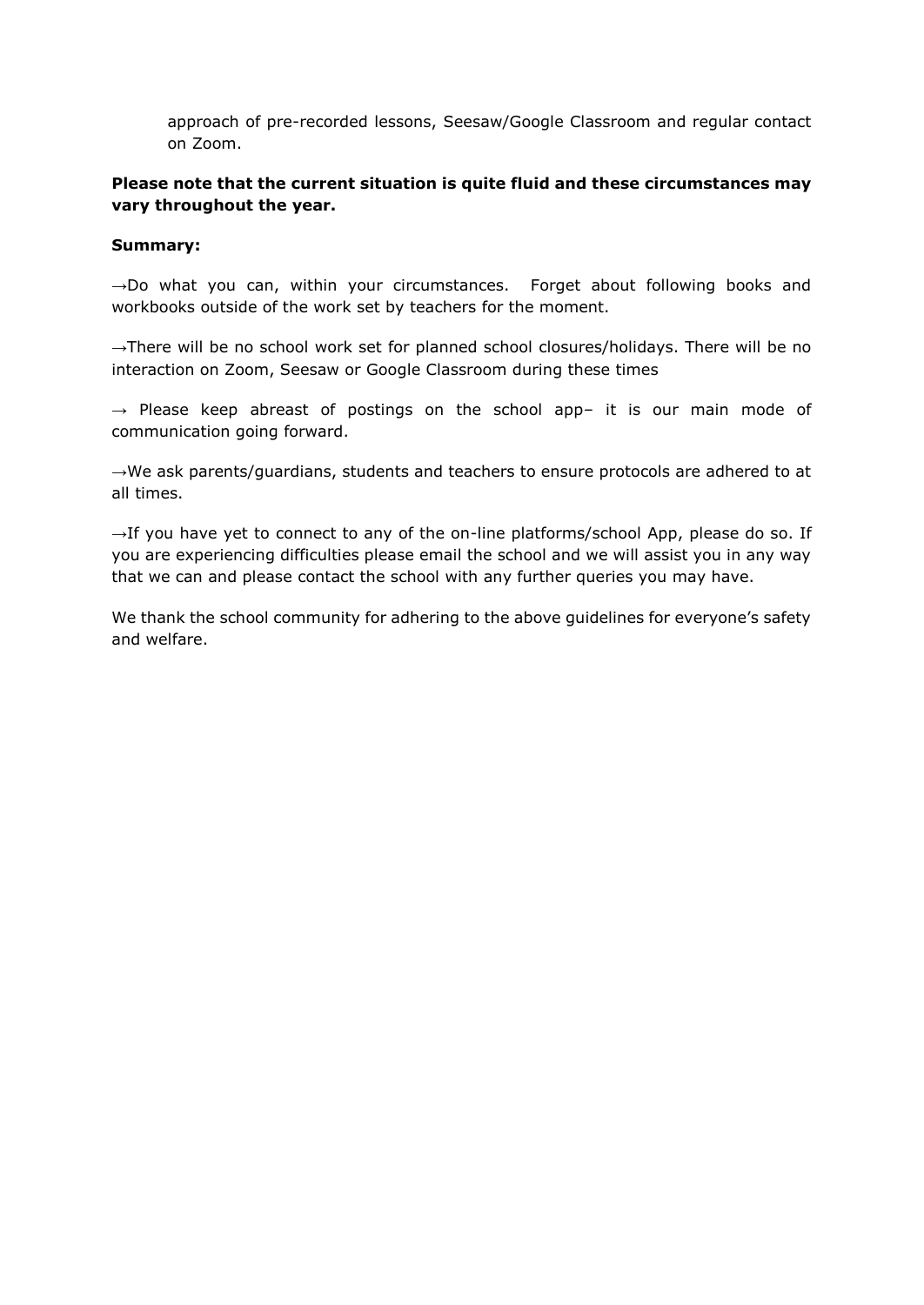approach of pre-recorded lessons, Seesaw/Google Classroom and regular contact on Zoom.

#### **Please note that the current situation is quite fluid and these circumstances may vary throughout the year.**

#### **Summary:**

→Do what you can, within your circumstances. Forget about following books and workbooks outside of the work set by teachers for the moment.

→There will be no school work set for planned school closures/holidays. There will be no interaction on Zoom, Seesaw or Google Classroom during these times

 $\rightarrow$  Please keep abreast of postings on the school app- it is our main mode of communication going forward.

→We ask parents/guardians, students and teachers to ensure protocols are adhered to at all times.

 $\rightarrow$ If you have yet to connect to any of the on-line platforms/school App, please do so. If you are experiencing difficulties please email the school and we will assist you in any way that we can and please contact the school with any further queries you may have.

We thank the school community for adhering to the above guidelines for everyone's safety and welfare.